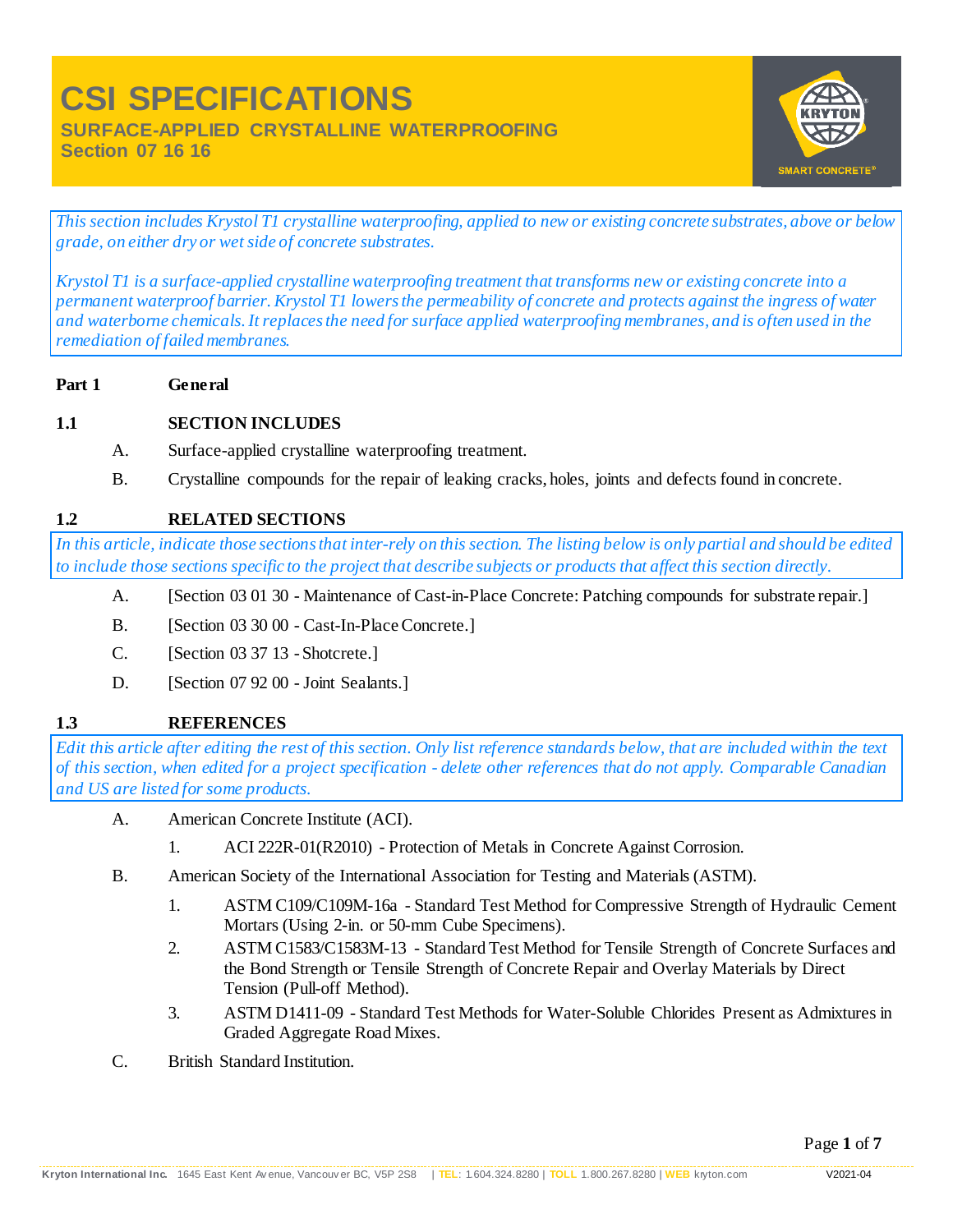**Section 07 16 16**



*This section includes Krystol T1 crystalline waterproofing, applied to new or existing concrete substrates, above or below grade, on either dry or wet side of concrete substrates.*

*Krystol T1 is a surface-applied crystalline waterproofing treatment that transforms new or existing concrete into a permanent waterproof barrier. Krystol T1 lowers the permeability of concrete and protects against the ingress of water and waterborne chemicals. It replaces the need for surface applied waterproofing membranes, and is often used in the remediation of failed membranes.*

**Part 1 General**

# **1.1 SECTION INCLUDES**

- A. Surface-applied crystalline waterproofing treatment.
- B. Crystalline compounds for the repair of leaking cracks, holes, joints and defects found in concrete.

## **1.2 RELATED SECTIONS**

*In this article, indicate those sections that inter-rely on this section. The listing below is only partial and should be edited to include those sections specific to the project that describe subjects or products that affect this section directly.*

- A. [Section 03 01 30 Maintenance of Cast-in-Place Concrete: Patching compounds for substrate repair.]
- B. [Section 03 30 00 Cast-In-Place Concrete.]
- C. [Section 03 37 13 -Shotcrete.]
- D. [Section 07 92 00 Joint Sealants.]

# **1.3 REFERENCES**

*Edit this article after editing the rest of this section. Only list reference standards below, that are included within the text of this section, when edited for a project specification - delete other references that do not apply. Comparable Canadian and US are listed for some products.*

- A. American Concrete Institute (ACI).
	- 1. ACI 222R-01(R2010) Protection of Metals in Concrete Against Corrosion.
- B. American Society of the International Association for Testing and Materials (ASTM).
	- 1. ASTM C109/C109M-16a Standard Test Method for Compressive Strength of Hydraulic Cement Mortars (Using 2-in. or 50-mm Cube Specimens).
	- 2. ASTM C1583/C1583M-13 Standard Test Method for Tensile Strength of Concrete Surfaces and the Bond Strength or Tensile Strength of Concrete Repair and Overlay Materials by Direct Tension (Pull-off Method).
	- 3. ASTM D1411-09 Standard Test Methods for Water-Soluble Chlorides Present as Admixtures in Graded Aggregate Road Mixes.
- C. British Standard Institution.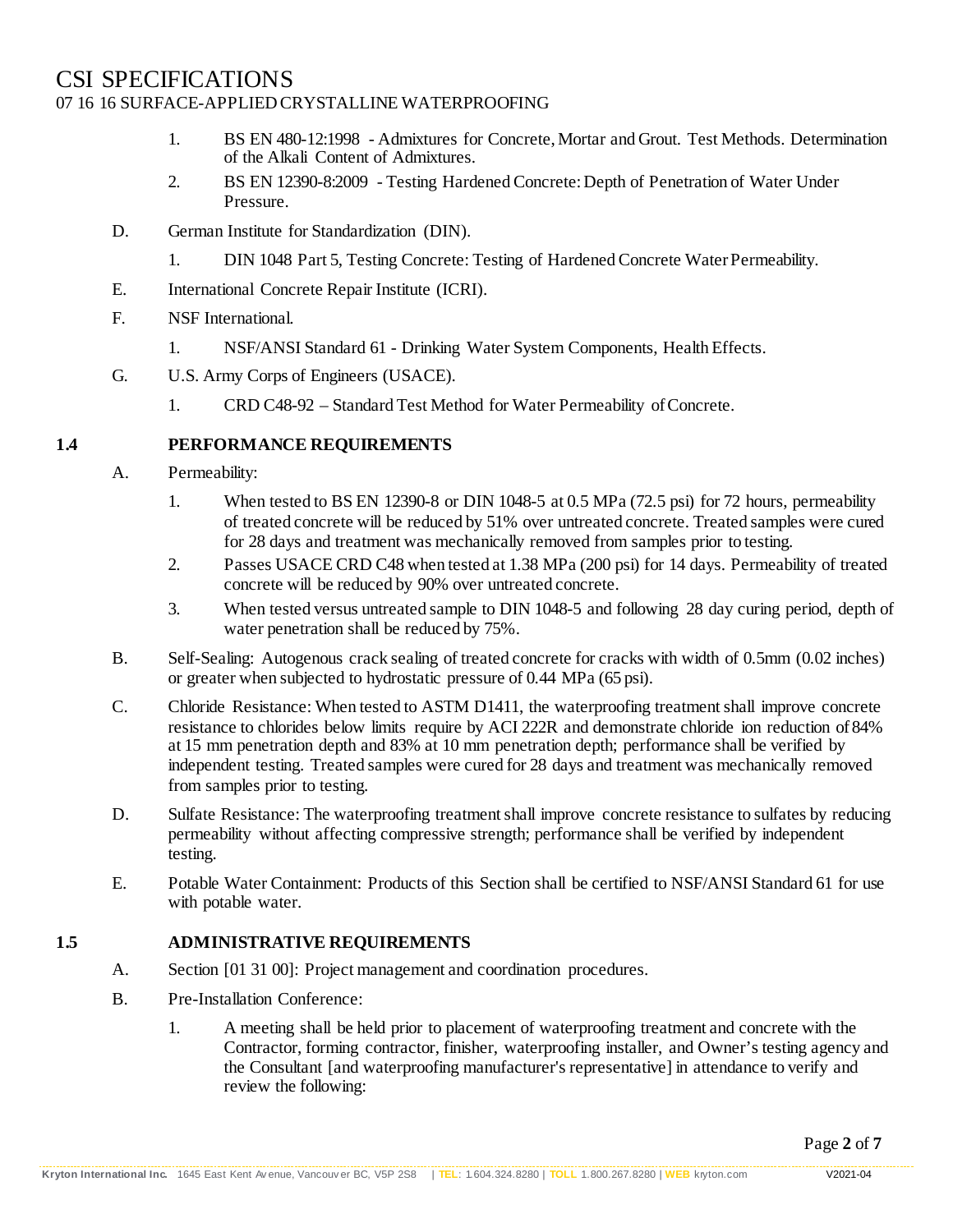- 1. BS EN 480-12:1998 Admixtures for Concrete, Mortar and Grout. Test Methods. Determination of the Alkali Content of Admixtures.
- 2. BS EN 12390-8:2009 Testing Hardened Concrete: Depth of Penetration of Water Under Pressure.
- D. German Institute for Standardization (DIN).
	- 1. DIN 1048 Part 5, Testing Concrete: Testing of Hardened Concrete WaterPermeability.
- E. International Concrete Repair Institute (ICRI).
- F. NSF International.
	- 1. NSF/ANSI Standard 61 Drinking Water System Components, Health Effects.
- G. U.S. Army Corps of Engineers (USACE).
	- 1. CRD C48-92 Standard Test Method for Water Permeability ofConcrete.

## **1.4 PERFORMANCE REQUIREMENTS**

- A. Permeability:
	- 1. When tested to BS EN 12390-8 or DIN 1048-5 at 0.5 MPa (72.5 psi) for 72 hours, permeability of treated concrete will be reduced by 51% over untreated concrete. Treated samples were cured for 28 days and treatment was mechanically removed from samples prior to testing.
	- 2. Passes USACE CRD C48 when tested at 1.38 MPa (200 psi) for 14 days. Permeability of treated concrete will be reduced by 90% over untreated concrete.
	- 3. When tested versus untreated sample to DIN 1048-5 and following 28 day curing period, depth of water penetration shall be reduced by 75%.
- B. Self-Sealing: Autogenous crack sealing of treated concrete for cracks with width of 0.5mm (0.02 inches) or greater when subjected to hydrostatic pressure of 0.44 MPa (65 psi).
- C. Chloride Resistance: When tested to ASTM D1411, the waterproofing treatment shall improve concrete resistance to chlorides below limits require by ACI 222R and demonstrate chloride ion reduction of84% at 15 mm penetration depth and 83% at 10 mm penetration depth; performance shall be verified by independent testing. Treated samples were cured for 28 days and treatment was mechanically removed from samples prior to testing.
- D. Sulfate Resistance: The waterproofing treatment shall improve concrete resistance to sulfates by reducing permeability without affecting compressive strength; performance shall be verified by independent testing.
- E. Potable Water Containment: Products of this Section shall be certified to NSF/ANSI Standard 61 for use with potable water.

# **1.5 ADMINISTRATIVE REQUIREMENTS**

- A. Section [01 31 00]: Project management and coordination procedures.
- B. Pre-Installation Conference:
	- 1. A meeting shall be held prior to placement of waterproofing treatment and concrete with the Contractor, forming contractor, finisher, waterproofing installer, and Owner's testing agency and the Consultant [and waterproofing manufacturer's representative] in attendance to verify and review the following: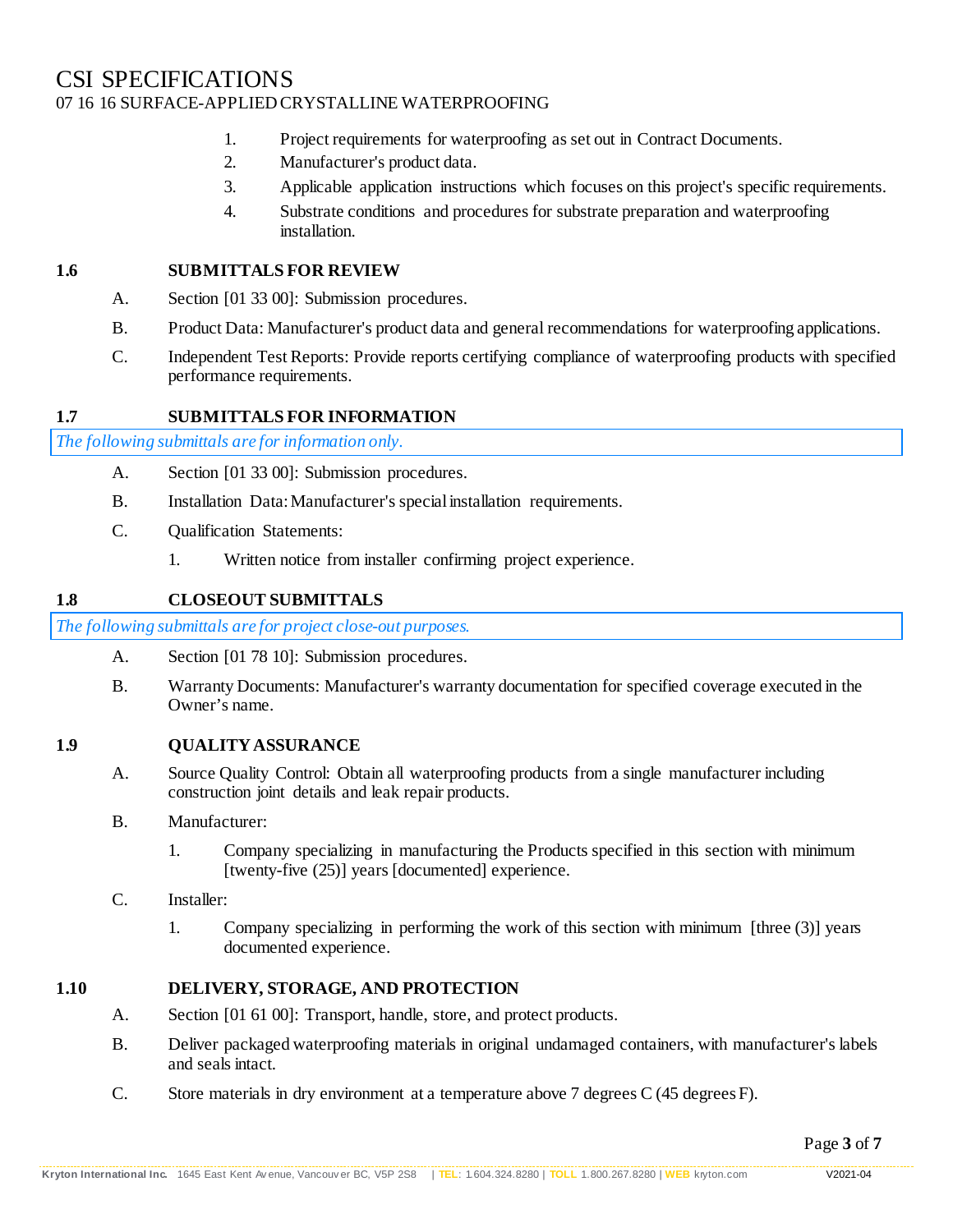- 1. Project requirements for waterproofing as set out in Contract Documents.
- 2. Manufacturer's product data.
- 3. Applicable application instructions which focuses on this project's specific requirements.
- 4. Substrate conditions and procedures for substrate preparation and waterproofing installation.

#### **1.6 SUBMITTALS FOR REVIEW**

- A. Section [01 33 00]: Submission procedures.
- B. Product Data: Manufacturer's product data and general recommendations for waterproofing applications.
- C. Independent Test Reports: Provide reports certifying compliance of waterproofing products with specified performance requirements.

#### **1.7 SUBMITTALS FOR INFORMATION**

*The following submittals are for information only.*

- A. Section [01 33 00]: Submission procedures.
- B. Installation Data: Manufacturer's special installation requirements.
- C. Qualification Statements:
	- 1. Written notice from installer confirming project experience.

#### **1.8 CLOSEOUT SUBMITTALS**

*The following submittals are for project close-out purposes.*

- A. Section [01 78 10]: Submission procedures.
- B. Warranty Documents: Manufacturer's warranty documentation for specified coverage executed in the Owner's name.

#### **1.9 QUALITY ASSURANCE**

- A. Source Quality Control: Obtain all waterproofing products from a single manufacturer including construction joint details and leak repair products.
- B. Manufacturer:
	- 1. Company specializing in manufacturing the Products specified in this section with minimum [twenty-five (25)] years [documented] experience.
- C. Installer:
	- 1. Company specializing in performing the work of this section with minimum [three (3)] years documented experience.

#### **1.10 DELIVERY, STORAGE, AND PROTECTION**

- A. Section [01 61 00]: Transport, handle, store, and protect products.
- B. Deliver packaged waterproofing materials in original undamaged containers, with manufacturer's labels and seals intact.
- C. Store materials in dry environment at a temperature above 7 degrees C (45 degreesF).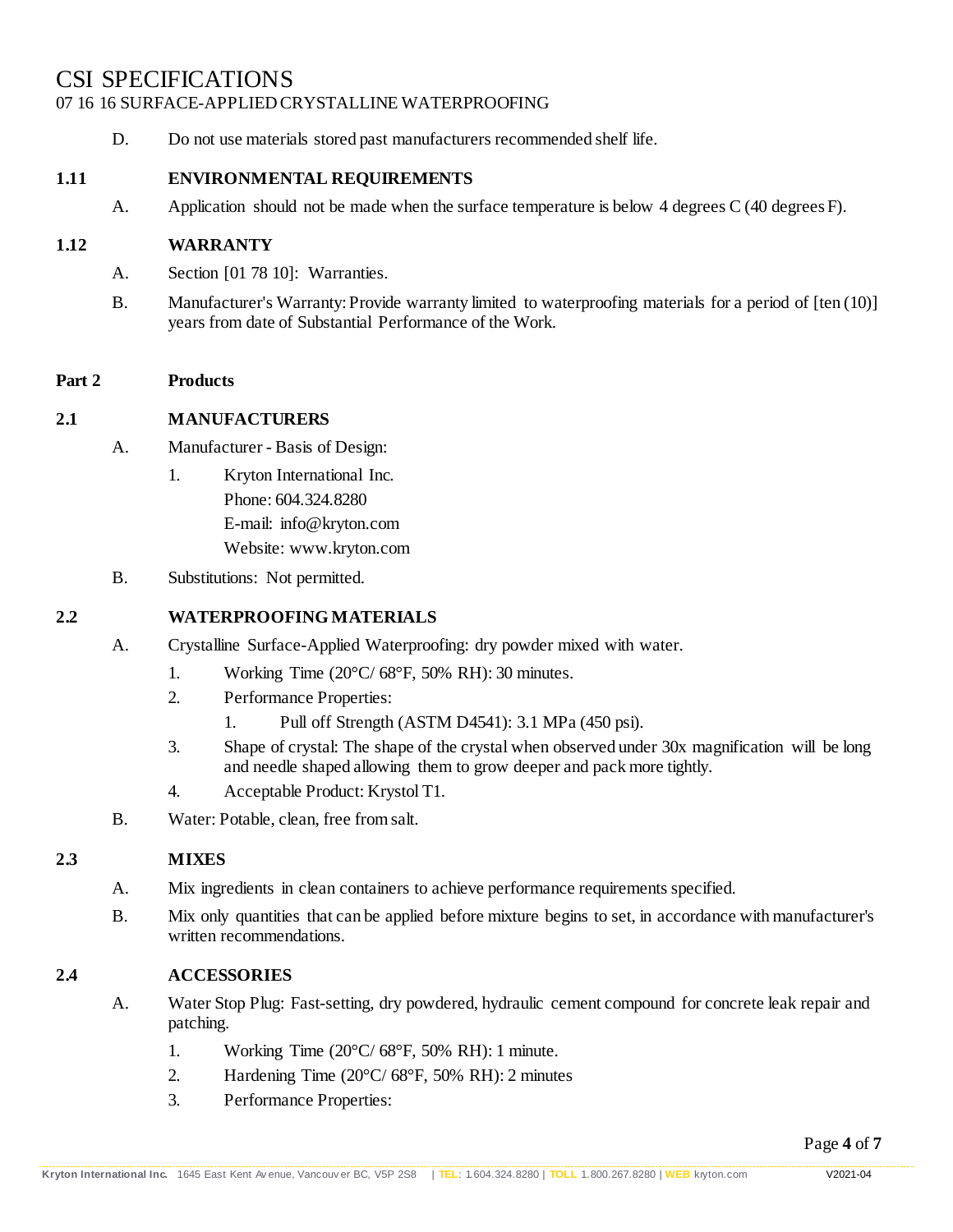D. Do not use materials stored past manufacturers recommended shelf life.

#### **1.11 ENVIRONMENTAL REQUIREMENTS**

A. Application should not be made when the surface temperature is below 4 degrees C (40 degreesF).

#### **1.12 WARRANTY**

- A. Section [01 78 10]: Warranties.
- B. Manufacturer's Warranty: Provide warranty limited to waterproofing materials for a period of [ten (10)] years from date of Substantial Performance of the Work.

#### **Part 2 Products**

#### **2.1 MANUFACTURERS**

- A. Manufacturer Basis of Design:
	- 1. Kryton International Inc. Phone: 604.324.8280 E-mail: [info@kryton.com](mailto:info@kryton.com) Website: [www.kryton.com](http://www.kryton.com/)
- B. Substitutions: Not permitted.

#### **2.2 WATERPROOFINGMATERIALS**

- A. Crystalline Surface-Applied Waterproofing: dry powder mixed with water.
	- 1. Working Time  $(20^{\circ}C/68^{\circ}F, 50\%$  RH): 30 minutes.
	- 2. Performance Properties:
		- 1. Pull off Strength (ASTM D4541): 3.1 MPa (450 psi).
	- 3. Shape of crystal: The shape of the crystal when observed under 30x magnification will be long and needle shaped allowing them to grow deeper and pack more tightly.
	- 4. Acceptable Product: Krystol T1.
- B. Water: Potable, clean, free fromsalt.

#### **2.3 MIXES**

- A. Mix ingredients in clean containers to achieve performance requirements specified.
- B. Mix only quantities that can be applied before mixture begins to set, in accordance with manufacturer's written recommendations.

#### **2.4 ACCESSORIES**

- A. Water Stop Plug: Fast-setting, dry powdered, hydraulic cement compound for concrete leak repair and patching.
	- 1. Working Time (20°C/ 68°F, 50% RH): 1 minute.
	- 2. Hardening Time (20°C/ 68°F, 50% RH): 2 minutes
	- 3. Performance Properties: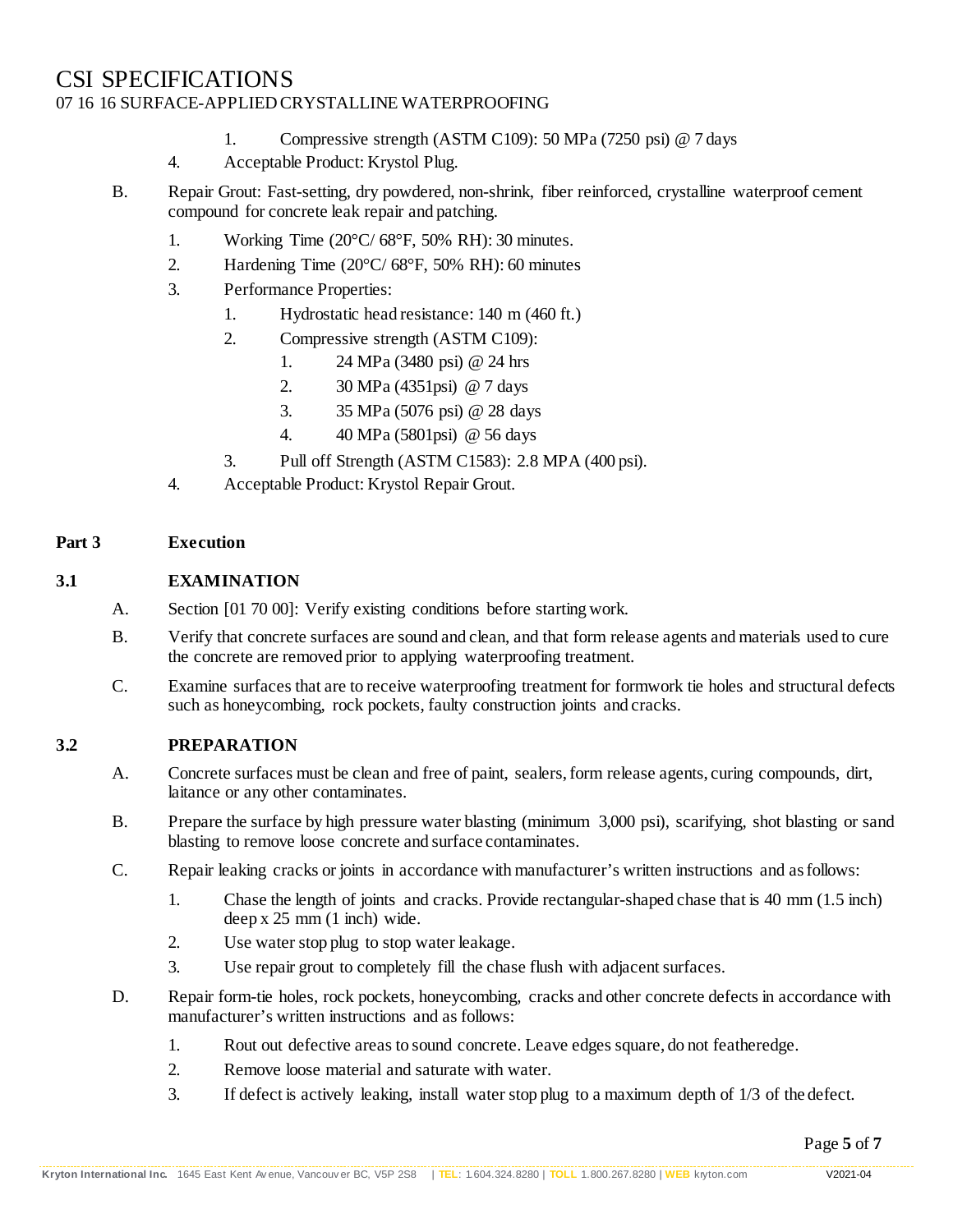- 1. Compressive strength (ASTM C109): 50 MPa (7250 psi) @ 7 days
- 4. Acceptable Product: Krystol Plug.
- B. Repair Grout: Fast-setting, dry powdered, non-shrink, fiber reinforced, crystalline waterproof cement compound for concrete leak repair and patching.
	- 1. Working Time (20°C/ 68°F, 50% RH): 30 minutes.
	- 2. Hardening Time (20°C/ 68°F, 50% RH): 60 minutes
	- 3. Performance Properties:
		- 1. Hydrostatic head resistance: 140 m (460 ft.)
		- 2. Compressive strength (ASTM C109):
			- 1. 24 MPa (3480 psi) @ 24 hrs
			- 2. 30 MPa (4351psi) @ 7 days
			- 3. 35 MPa (5076 psi) @ 28 days
			- 4. 40 MPa (5801psi) @ 56 days
		- 3. Pull off Strength (ASTM C1583): 2.8 MPA (400 psi).
	- 4. Acceptable Product: Krystol Repair Grout.

#### **Part 3 Execution**

## **3.1 EXAMINATION**

- A. Section [01 70 00]: Verify existing conditions before starting work.
- B. Verify that concrete surfaces are sound and clean, and that form release agents and materials used to cure the concrete are removed prior to applying waterproofing treatment.
- C. Examine surfaces that are to receive waterproofing treatment for formwork tie holes and structural defects such as honeycombing, rock pockets, faulty construction joints and cracks.

# **3.2 PREPARATION**

- A. Concrete surfaces must be clean and free of paint, sealers, form release agents, curing compounds, dirt, laitance or any other contaminates.
- B. Prepare the surface by high pressure water blasting (minimum 3,000 psi), scarifying, shot blasting or sand blasting to remove loose concrete and surface contaminates.
- C. Repair leaking cracks or joints in accordance with manufacturer's written instructions and asfollows:
	- 1. Chase the length of joints and cracks. Provide rectangular-shaped chase that is 40 mm (1.5 inch) deep x 25 mm (1 inch) wide.
	- 2. Use water stop plug to stop water leakage.
	- 3. Use repair grout to completely fill the chase flush with adjacent surfaces.
- D. Repair form-tie holes, rock pockets, honeycombing, cracks and other concrete defects in accordance with manufacturer's written instructions and as follows:
	- 1. Rout out defective areas to sound concrete. Leave edges square, do not featheredge.
	- 2. Remove loose material and saturate with water.
	- 3. If defect is actively leaking, install water stop plug to a maximum depth of 1/3 of the defect.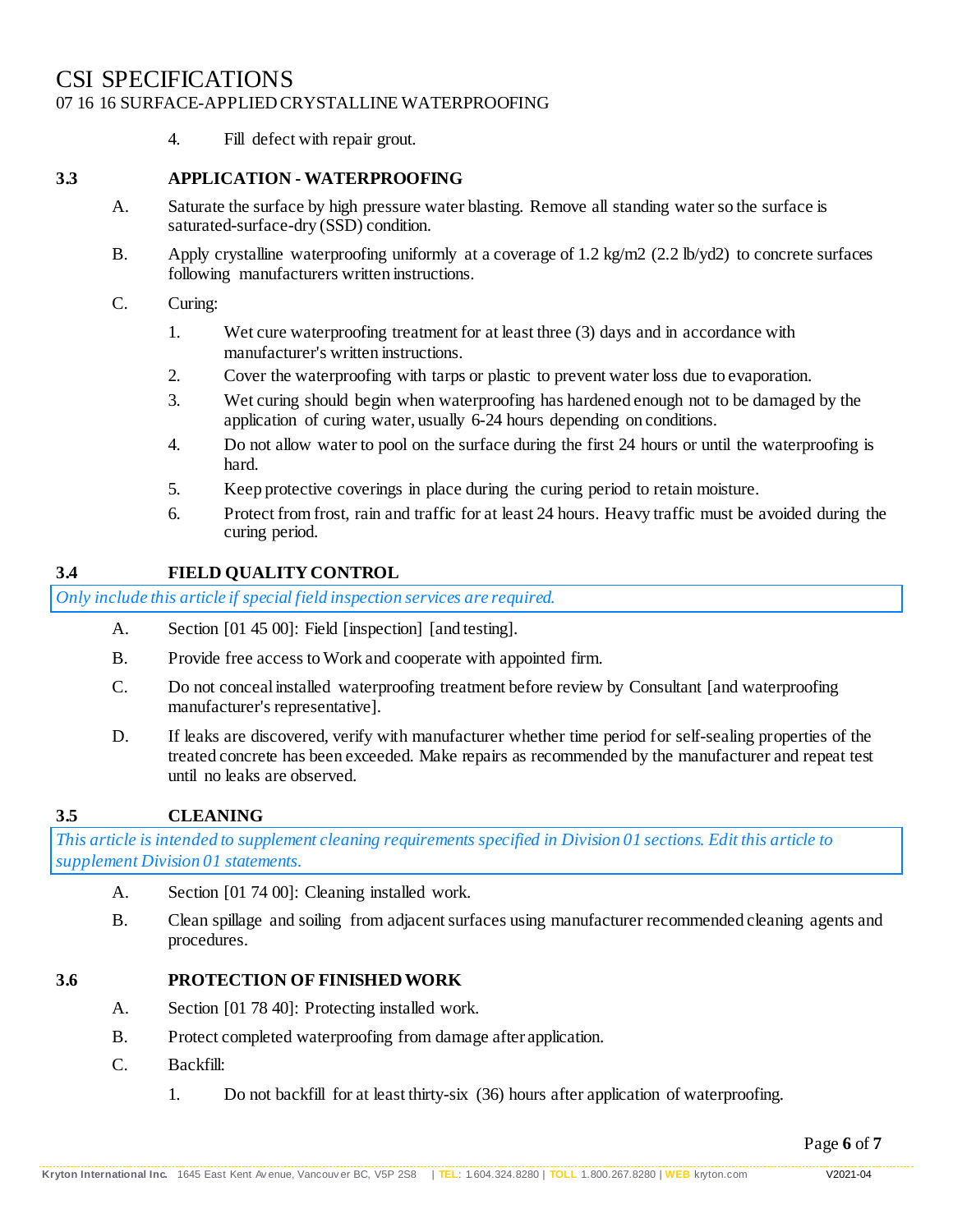4. Fill defect with repair grout.

## **3.3 APPLICATION - WATERPROOFING**

- A. Saturate the surface by high pressure water blasting. Remove all standing water so the surface is saturated-surface-dry (SSD) condition.
- B. Apply crystalline waterproofing uniformly at a coverage of 1.2 kg/m2 (2.2 lb/yd2) to concrete surfaces following manufacturers written instructions.
- C. Curing:
	- 1. Wet cure waterproofing treatment for at least three (3) days and in accordance with manufacturer's written instructions.
	- 2. Cover the waterproofing with tarps or plastic to prevent water loss due to evaporation.
	- 3. Wet curing should begin when waterproofing has hardened enough not to be damaged by the application of curing water, usually 6-24 hours depending on conditions.
	- 4. Do not allow water to pool on the surface during the first 24 hours or until the waterproofing is hard.
	- 5. Keep protective coverings in place during the curing period to retain moisture.
	- 6. Protect from frost, rain and traffic for at least 24 hours. Heavy traffic must be avoided during the curing period.

# **3.4 FIELD QUALITY CONTROL**

*Only include this article if special field inspection services are required.*

- A. Section [01 45 00]: Field [inspection] [and testing].
- B. Provide free access to Work and cooperate with appointed firm.
- C. Do not conceal installed waterproofing treatment before review by Consultant [and waterproofing manufacturer's representative].
- D. If leaks are discovered, verify with manufacturer whether time period for self-sealing properties of the treated concrete has been exceeded. Make repairs as recommended by the manufacturer and repeat test until no leaks are observed.

# **3.5 CLEANING**

*This article is intended to supplement cleaning requirements specified in Division 01 sections. Edit this article to supplement Division 01 statements.*

- A. Section [01 74 00]: Cleaning installed work.
- B. Clean spillage and soiling from adjacent surfaces using manufacturer recommended cleaning agents and procedures.

#### **3.6 PROTECTION OF FINISHEDWORK**

- A. Section [01 78 40]: Protecting installed work.
- B. Protect completed waterproofing from damage after application.
- C. Backfill:
	- 1. Do not backfill for at least thirty-six (36) hours after application of waterproofing.